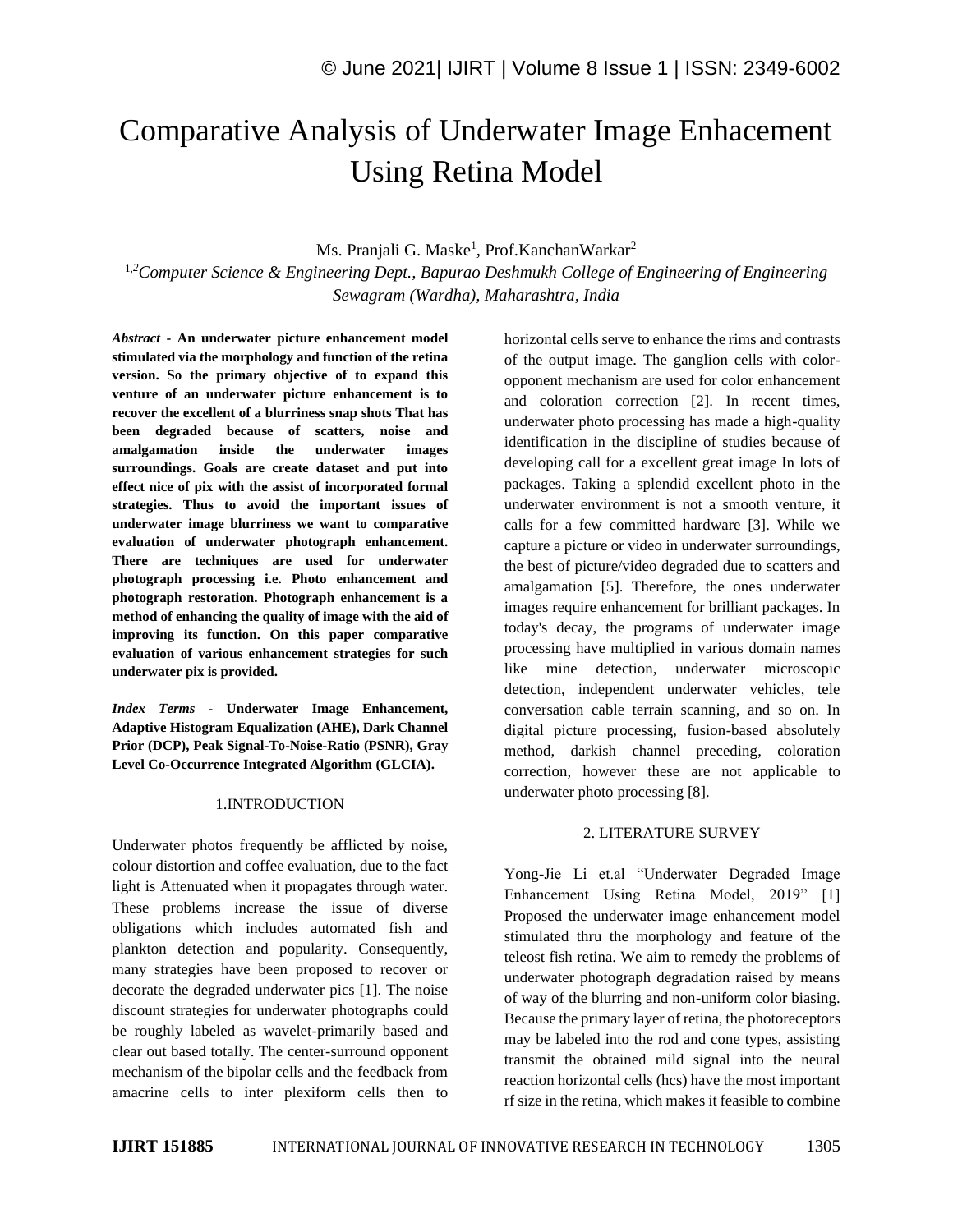# Comparative Analysis of Underwater Image Enhacement Using Retina Model

# Ms. Pranjali G. Maske<sup>1</sup>, Prof. Kanchan Warkar<sup>2</sup>

1,*<sup>2</sup>Computer Science & Engineering Dept., Bapurao Deshmukh College of Engineering of Engineering Sewagram (Wardha), Maharashtra, India*

*Abstract -* **An underwater picture enhancement model stimulated via the morphology and function of the retina version. So the primary objective of to expand this venture of an underwater picture enhancement is to recover the excellent of a blurriness snap shots That has been degraded because of scatters, noise and amalgamation inside the underwater images surroundings. Goals are create dataset and put into effect nice of pix with the assist of incorporated formal strategies. Thus to avoid the important issues of underwater image blurriness we want to comparative evaluation of underwater photograph enhancement. There are techniques are used for underwater photograph processing i.e. Photo enhancement and photograph restoration. Photograph enhancement is a method of enhancing the quality of image with the aid of improving its function. On this paper comparative evaluation of various enhancement strategies for such underwater pix is provided.**

*Index Terms -* **Underwater Image Enhancement, Adaptive Histogram Equalization (AHE), Dark Channel Prior (DCP), Peak Signal-To-Noise-Ratio (PSNR), Gray Level Co-Occurrence Integrated Algorithm (GLCIA).**

#### 1.INTRODUCTION

Underwater photos frequently be afflicted by noise, colour distortion and coffee evaluation, due to the fact light is Attenuated when it propagates through water. These problems increase the issue of diverse obligations which includes automated fish and plankton detection and popularity. Consequently, many strategies have been proposed to recover or decorate the degraded underwater pics [1]. The noise discount strategies for underwater photographs could be roughly labeled as wavelet-primarily based and clear out based totally. The center-surround opponent mechanism of the bipolar cells and the feedback from amacrine cells to inter plexiform cells then to horizontal cells serve to enhance the rims and contrasts of the output image. The ganglion cells with coloropponent mechanism are used for color enhancement and coloration correction [2]. In recent times, underwater photo processing has made a high-quality identification in the discipline of studies because of developing call for a excellent great image In lots of packages. Taking a splendid excellent photo in the underwater environment is not a smooth venture, it calls for a few committed hardware [3]. While we capture a picture or video in underwater surroundings, the best of picture/video degraded due to scatters and amalgamation [5]. Therefore, the ones underwater images require enhancement for brilliant packages. In today's decay, the programs of underwater image processing have multiplied in various domain names like mine detection, underwater microscopic detection, independent underwater vehicles, tele conversation cable terrain scanning, and so on. In digital picture processing, fusion-based absolutely method, darkish channel preceding, coloration correction, however these are not applicable to underwater photo processing [8].

#### 2. LITERATURE SURVEY

Yong-Jie Li et.al "Underwater Degraded Image Enhancement Using Retina Model, 2019" [1] Proposed the underwater image enhancement model stimulated thru the morphology and feature of the teleost fish retina. We aim to remedy the problems of underwater photograph degradation raised by means of way of the blurring and non-uniform color biasing. Because the primary layer of retina, the photoreceptors may be labeled into the rod and cone types, assisting transmit the obtained mild signal into the neural reaction horizontal cells (hcs) have the most important rf size in the retina, which makes it feasible to combine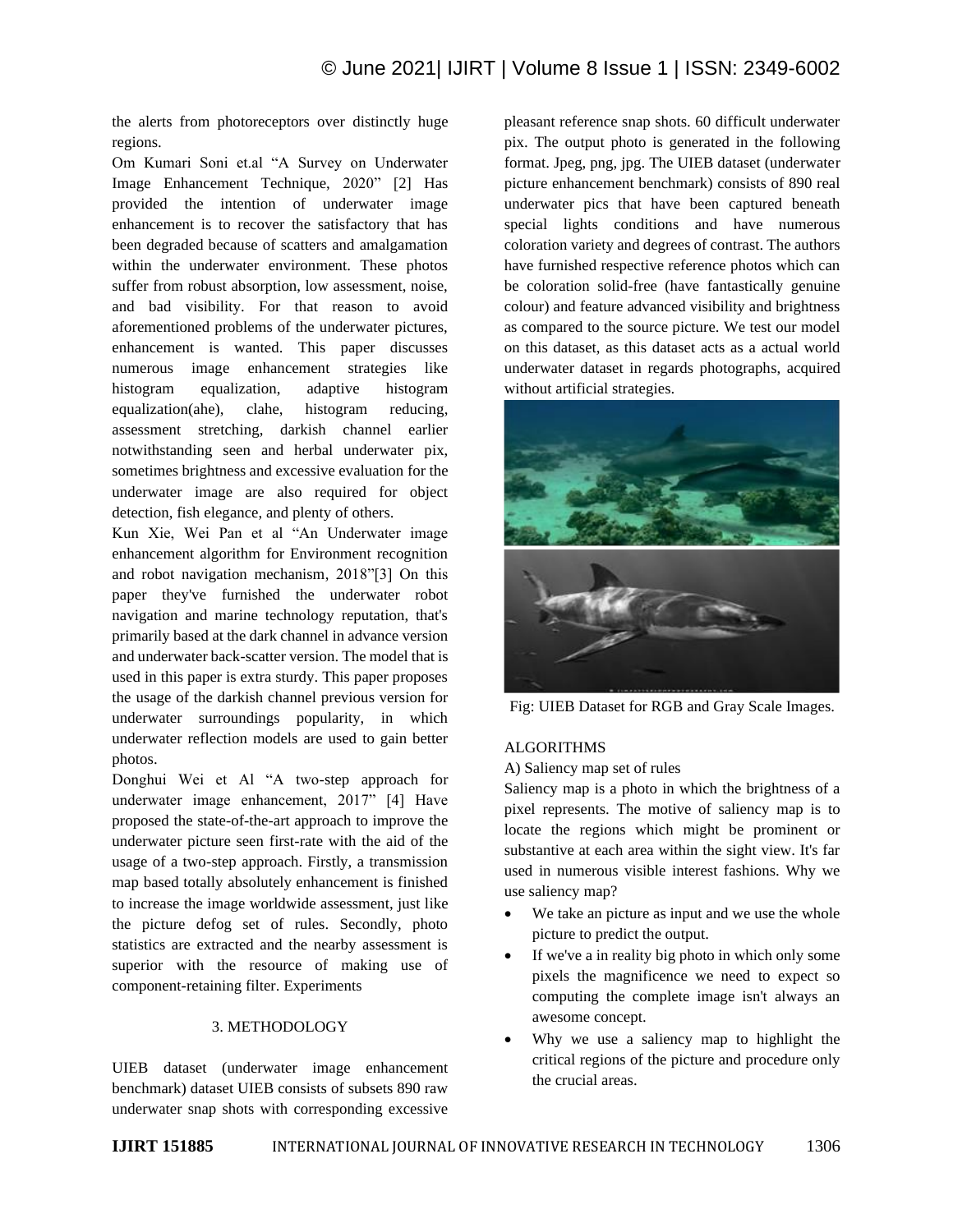the alerts from photoreceptors over distinctly huge regions.

Om Kumari Soni et.al "A Survey on Underwater Image Enhancement Technique, 2020" [2] Has provided the intention of underwater image enhancement is to recover the satisfactory that has been degraded because of scatters and amalgamation within the underwater environment. These photos suffer from robust absorption, low assessment, noise, and bad visibility. For that reason to avoid aforementioned problems of the underwater pictures, enhancement is wanted. This paper discusses numerous image enhancement strategies like histogram equalization, adaptive histogram equalization(ahe), clahe, histogram reducing, assessment stretching, darkish channel earlier notwithstanding seen and herbal underwater pix, sometimes brightness and excessive evaluation for the underwater image are also required for object detection, fish elegance, and plenty of others.

Kun Xie, Wei Pan et al "An Underwater image enhancement algorithm for Environment recognition and robot navigation mechanism, 2018"[3] On this paper they've furnished the underwater robot navigation and marine technology reputation, that's primarily based at the dark channel in advance version and underwater back-scatter version. The model that is used in this paper is extra sturdy. This paper proposes the usage of the darkish channel previous version for underwater surroundings popularity, in which underwater reflection models are used to gain better photos.

Donghui Wei et Al "A two-step approach for underwater image enhancement, 2017" [4] Have proposed the state-of-the-art approach to improve the underwater picture seen first-rate with the aid of the usage of a two-step approach. Firstly, a transmission map based totally absolutely enhancement is finished to increase the image worldwide assessment, just like the picture defog set of rules. Secondly, photo statistics are extracted and the nearby assessment is superior with the resource of making use of component-retaining filter. Experiments

### 3. METHODOLOGY

UIEB dataset (underwater image enhancement benchmark) dataset UIEB consists of subsets 890 raw underwater snap shots with corresponding excessive pleasant reference snap shots. 60 difficult underwater pix. The output photo is generated in the following format. Jpeg, png, jpg. The UIEB dataset (underwater picture enhancement benchmark) consists of 890 real underwater pics that have been captured beneath special lights conditions and have numerous coloration variety and degrees of contrast. The authors have furnished respective reference photos which can be coloration solid-free (have fantastically genuine colour) and feature advanced visibility and brightness as compared to the source picture. We test our model on this dataset, as this dataset acts as a actual world underwater dataset in regards photographs, acquired without artificial strategies.



Fig: UIEB Dataset for RGB and Gray Scale Images.

### ALGORITHMS

A) Saliency map set of rules

Saliency map is a photo in which the brightness of a pixel represents. The motive of saliency map is to locate the regions which might be prominent or substantive at each area within the sight view. It's far used in numerous visible interest fashions. Why we use saliency map?

- We take an picture as input and we use the whole picture to predict the output.
- If we've a in reality big photo in which only some pixels the magnificence we need to expect so computing the complete image isn't always an awesome concept.
- Why we use a saliency map to highlight the critical regions of the picture and procedure only the crucial areas.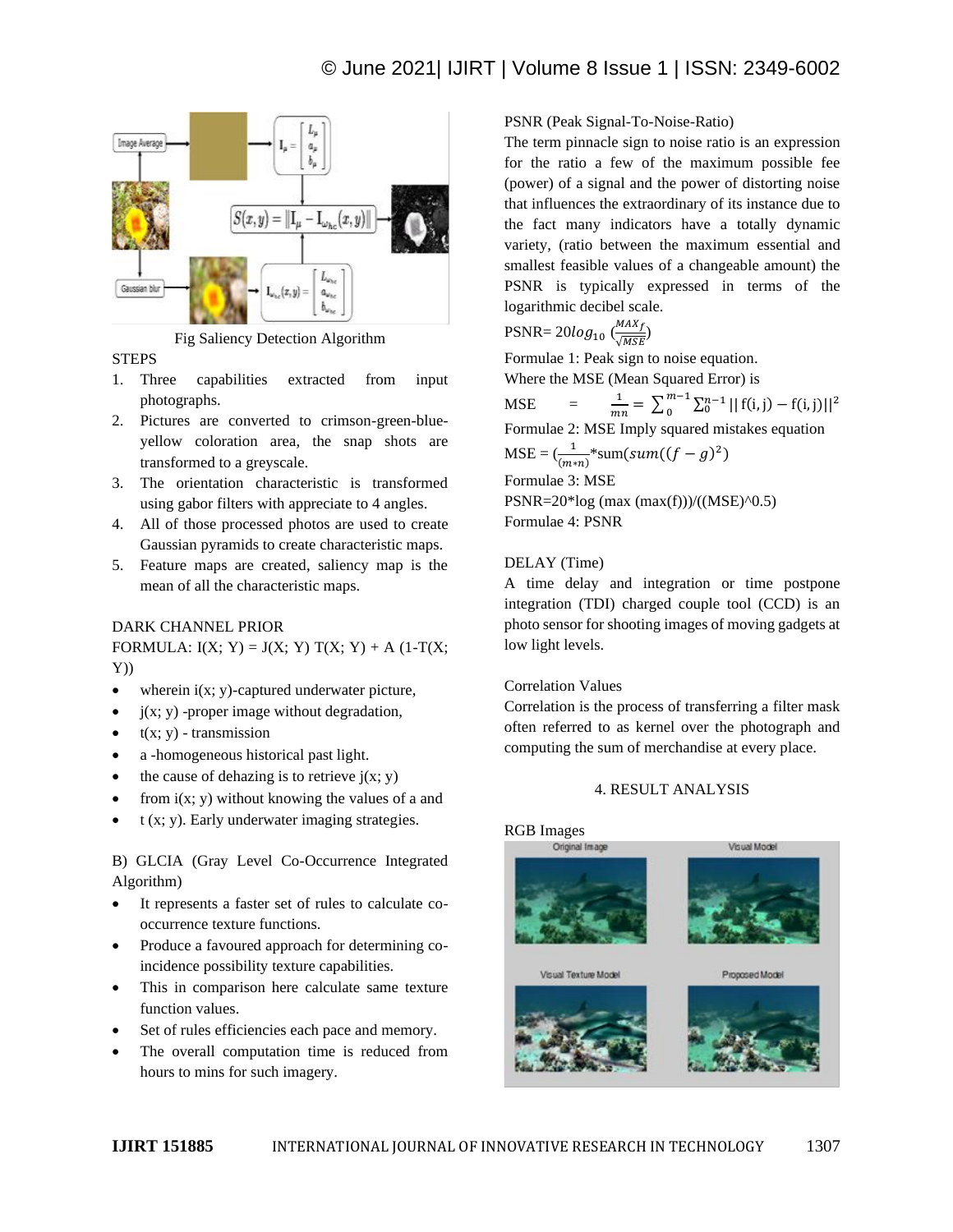

Fig Saliency Detection Algorithm

### **STEPS**

- 1. Three capabilities extracted from input photographs.
- 2. Pictures are converted to crimson-green-blueyellow coloration area, the snap shots are transformed to a greyscale.
- 3. The orientation characteristic is transformed using gabor filters with appreciate to 4 angles.
- 4. All of those processed photos are used to create Gaussian pyramids to create characteristic maps.
- 5. Feature maps are created, saliency map is the mean of all the characteristic maps.

# DARK CHANNEL PRIOR

FORMULA:  $I(X; Y) = J(X; Y) T(X; Y) + A (1-T(X; Y)))$ Y))

- wherein  $i(x; y)$ -captured underwater picture,
- $j(x; y)$  -proper image without degradation,
- $\bullet$  t(x; y) transmission
- a -homogeneous historical past light.
- the cause of dehazing is to retrieve  $j(x; y)$
- from  $i(x; y)$  without knowing the values of a and
- t (x; y). Early underwater imaging strategies.

B) GLCIA (Gray Level Co-Occurrence Integrated Algorithm)

- It represents a faster set of rules to calculate cooccurrence texture functions.
- Produce a favoured approach for determining coincidence possibility texture capabilities.
- This in comparison here calculate same texture function values.
- Set of rules efficiencies each pace and memory.
- The overall computation time is reduced from hours to mins for such imagery.

# PSNR (Peak Signal-To-Noise-Ratio)

The term pinnacle sign to noise ratio is an expression for the ratio a few of the maximum possible fee (power) of a signal and the power of distorting noise that influences the extraordinary of its instance due to the fact many indicators have a totally dynamic variety, (ratio between the maximum essential and smallest feasible values of a changeable amount) the PSNR is typically expressed in terms of the logarithmic decibel scale.

$$
PSNR = 20log_{10} \left( \frac{MAX_f}{\sqrt{MSE}} \right)
$$

Formulae 1: Peak sign to noise equation. Where the MSE (Mean Squared Error) is

MSE =  $\frac{1}{mn} = \sum_{0}^{m-1} \sum_{0}^{n-1} |$  $m-1$  $\int_0^{m-1} \sum_0^{n-1} ||f(i, j) - f(i, j)||^2$ Formulae 2: MSE Imply squared mistakes equation  $MSE = (\frac{1}{(m*n)} * sum(sum((f-g)^2))$ Formulae 3: MSE PSNR= $20*log (max (max(f)))/(MSE)^0.5$ Formulae 4: PSNR

# DELAY (Time)

A time delay and integration or time postpone integration (TDI) charged couple tool (CCD) is an photo sensor for shooting images of moving gadgets at low light levels.

### Correlation Values

Correlation is the process of transferring a filter mask often referred to as kernel over the photograph and computing the sum of merchandise at every place.

### 4. RESULT ANALYSIS

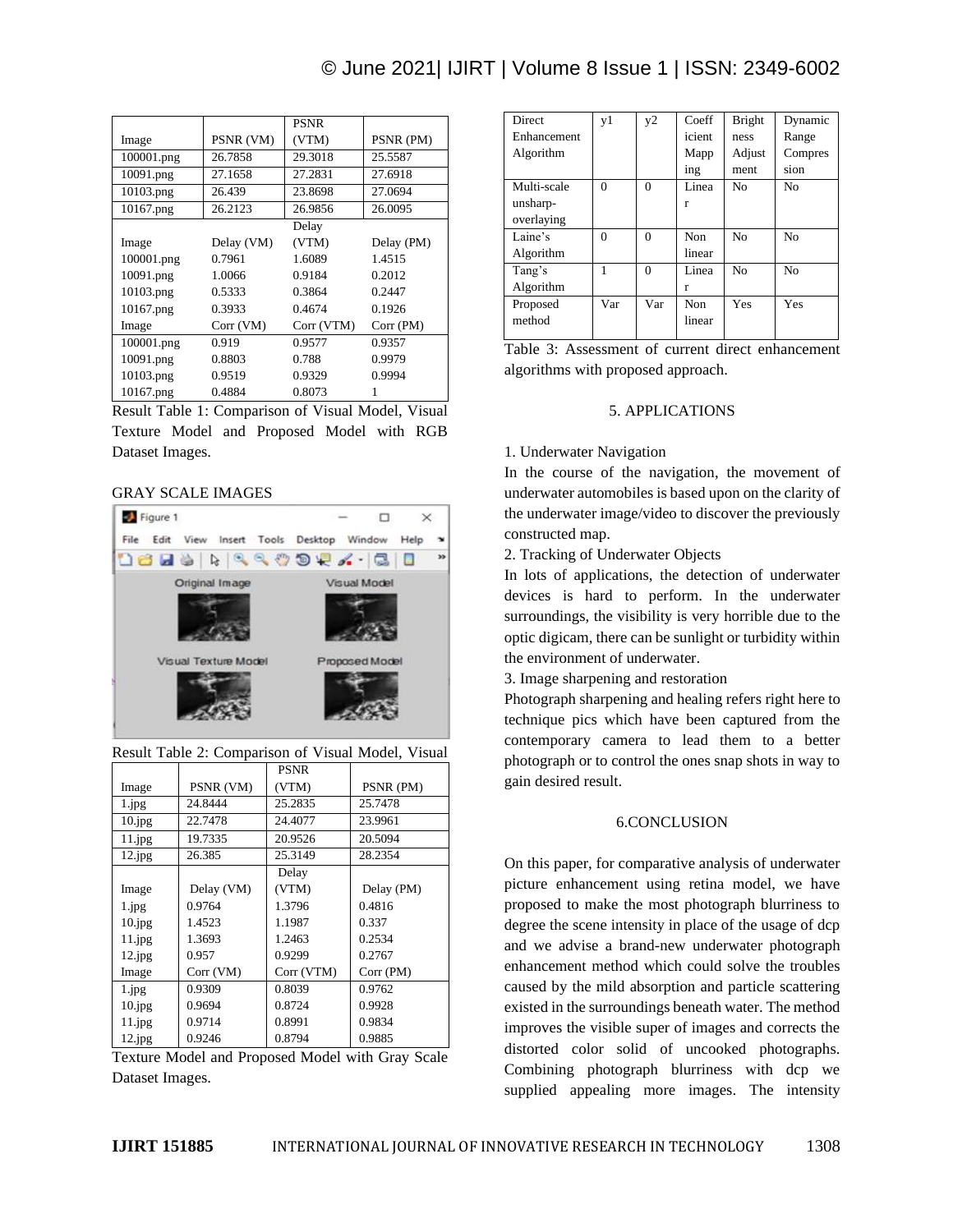# © June 2021| IJIRT | Volume 8 Issue 1 | ISSN: 2349-6002

|            |            | <b>PSNR</b> |            |
|------------|------------|-------------|------------|
| Image      | PSNR (VM)  | (VTM)       | PSNR (PM)  |
| 100001.png | 26.7858    | 29.3018     | 25.5587    |
| 10091.png  | 27.1658    | 27.2831     | 27.6918    |
| 10103.png  | 26.439     | 23.8698     | 27.0694    |
| 10167.png  | 26.2123    | 26.9856     | 26.0095    |
|            |            | Delay       |            |
| Image      | Delay (VM) | (VTM)       | Delay (PM) |
| 100001.png | 0.7961     | 1.6089      | 1.4515     |
| 10091.png  | 1.0066     | 0.9184      | 0.2012     |
| 10103.png  | 0.5333     | 0.3864      | 0.2447     |
| 10167.png  | 0.3933     | 0.4674      | 0.1926     |
| Image      | Corr (VM)  | Corr (VTM)  | Corr(PM)   |
| 100001.png | 0.919      | 0.9577      | 0.9357     |
| 10091.png  | 0.8803     | 0.788       | 0.9979     |
| 10103.png  | 0.9519     | 0.9329      | 0.9994     |
| 10167.png  | 0.4884     | 0.8073      |            |

Result Table 1: Comparison of Visual Model, Visual Texture Model and Proposed Model with RGB Dataset Images.

#### GRAY SCALE IMAGES



|           |            | <b>PSNR</b> |            |
|-----------|------------|-------------|------------|
| Image     | PSNR (VM)  | (VTM)       | PSNR (PM)  |
| 1.jpg     | 24.8444    | 25.2835     | 25.7478    |
| 10.jpg    | 22.7478    | 24.4077     | 23.9961    |
| 11.jpg    | 19.7335    | 20.9526     | 20.5094    |
| 12.jpg    | 26.385     | 25.3149     | 28.2354    |
|           |            | Delay       |            |
| Image     | Delay (VM) | (VTM)       | Delay (PM) |
| 1.jpg     | 0.9764     | 1.3796      | 0.4816     |
| 10.jpg    | 1.4523     | 1.1987      | 0.337      |
| 11.jpg    | 1.3693     | 1.2463      | 0.2534     |
| $12$ .jpg | 0.957      | 0.9299      | 0.2767     |
| Image     | Corr (VM)  | Corr (VTM)  | Corr (PM)  |
| 1.jpg     | 0.9309     | 0.8039      | 0.9762     |
| 10.jpg    | 0.9694     | 0.8724      | 0.9928     |
| 11.jpg    | 0.9714     | 0.8991      | 0.9834     |
| 12.jpg    | 0.9246     | 0.8794      | 0.9885     |

| Result Table 2: Comparison of Visual Model, Visual |  |  |  |  |  |
|----------------------------------------------------|--|--|--|--|--|
|----------------------------------------------------|--|--|--|--|--|

Texture Model and Proposed Model with Gray Scale Dataset Images.

| <b>Direct</b> | v <sub>1</sub> | v <sub>2</sub> | Coeff  | <b>Bright</b>  | Dynamic        |
|---------------|----------------|----------------|--------|----------------|----------------|
| Enhancement   |                |                | icient | ness           | Range          |
| Algorithm     |                |                | Mapp   | Adjust         | Compres        |
|               |                |                | ing    | ment           | sion           |
| Multi-scale   | $\theta$       | $\Omega$       | Linea  | N <sub>0</sub> | N <sub>0</sub> |
| unsharp-      |                |                | r      |                |                |
| overlaying    |                |                |        |                |                |
| Laine's       | $\theta$       | $\Omega$       | Non.   | No             | No             |
| Algorithm     |                |                | linear |                |                |
| Tang's        |                | $\Omega$       | Linea  | No             | No             |
| Algorithm     |                |                | r      |                |                |
| Proposed      | Var            | Var            | Non    | Yes            | Yes            |
| method        |                |                | linear |                |                |
|               |                |                |        |                |                |

Table 3: Assessment of current direct enhancement algorithms with proposed approach.

#### 5. APPLICATIONS

#### 1. Underwater Navigation

In the course of the navigation, the movement of underwater automobiles is based upon on the clarity of the underwater image/video to discover the previously constructed map.

2. Tracking of Underwater Objects

In lots of applications, the detection of underwater devices is hard to perform. In the underwater surroundings, the visibility is very horrible due to the optic digicam, there can be sunlight or turbidity within the environment of underwater.

3. Image sharpening and restoration

Photograph sharpening and healing refers right here to technique pics which have been captured from the contemporary camera to lead them to a better photograph or to control the ones snap shots in way to gain desired result.

#### 6.CONCLUSION

On this paper, for comparative analysis of underwater picture enhancement using retina model, we have proposed to make the most photograph blurriness to degree the scene intensity in place of the usage of dcp and we advise a brand-new underwater photograph enhancement method which could solve the troubles caused by the mild absorption and particle scattering existed in the surroundings beneath water. The method improves the visible super of images and corrects the distorted color solid of uncooked photographs. Combining photograph blurriness with dcp we supplied appealing more images. The intensity